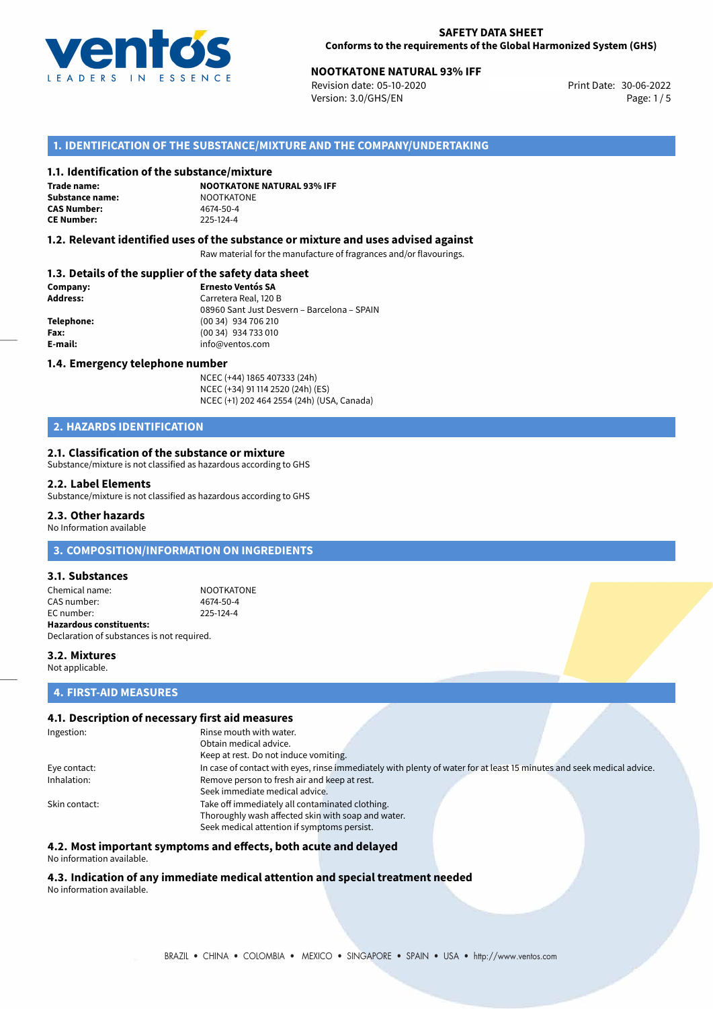

# **NOOTKATONE NATURAL 93% IFF**<br>
Revision date: 05-10-2020<br>
Print Date: 30-06-2022

Revision date: 05-10-2020 Version: 3.0/GHS/EN Page: 1/5

## **1. IDENTIFICATION OF THE SUBSTANCE/MIXTURE AND THE COMPANY/UNDERTAKING**

### **1.1. Identification of the substance/mixture**

**Trade name: Substance name:** NOOTKATONE<br> **CAS Number:** 4674-50-4 **CAS Number: CE Number:** 225-124-4

**NOOTKATONE NATURAL 93% IFF**

### **1.2. Relevant identified uses of the substance or mixture and uses advised against**

Raw material for the manufacture of fragrances and/or flavourings.

### **1.3. Details of the supplier of the safety data sheet**

| Company:   | <b>Ernesto Ventós SA</b>                    |  |
|------------|---------------------------------------------|--|
| Address:   | Carretera Real, 120 B                       |  |
|            | 08960 Sant Just Desvern - Barcelona - SPAIN |  |
| Telephone: | (00 34) 934 706 210                         |  |
| Fax:       | (00 34) 934 733 010                         |  |
| E-mail:    | info@ventos.com                             |  |
|            |                                             |  |

#### **1.4. Emergency telephone number**

NCEC (+44) 1865 407333 (24h) NCEC (+34) 91 114 2520 (24h) (ES) NCEC (+1) 202 464 2554 (24h) (USA, Canada)

## **2. HAZARDS IDENTIFICATION**

### **2.1. Classification of the substance or mixture**

Substance/mixture is not classified as hazardous according to GHS

#### **2.2. Label Elements**

Substance/mixture is not classified as hazardous according to GHS

### **2.3. Other hazards**

No Information available

## **3. COMPOSITION/INFORMATION ON INGREDIENTS**

### **3.1. Substances**

Chemical name: NOOTKATONE CAS number: 4674-50-4<br>
FC number: 225-124-4  $FC number$ **Hazardous constituents:** Declaration of substances is not required.

### **3.2. Mixtures** Not applicable.

# **4. FIRST-AID MEASURES**

### **4.1. Description of necessary first aid measures**

| Ingestion:    | Rinse mouth with water.                                                                                               |  |  |  |
|---------------|-----------------------------------------------------------------------------------------------------------------------|--|--|--|
|               | Obtain medical advice.                                                                                                |  |  |  |
|               | Keep at rest. Do not induce vomiting.                                                                                 |  |  |  |
| Eye contact:  | In case of contact with eyes, rinse immediately with plenty of water for at least 15 minutes and seek medical advice. |  |  |  |
| Inhalation:   | Remove person to fresh air and keep at rest.                                                                          |  |  |  |
|               | Seek immediate medical advice.                                                                                        |  |  |  |
| Skin contact: | Take off immediately all contaminated clothing.                                                                       |  |  |  |
|               | Thoroughly wash affected skin with soap and water.                                                                    |  |  |  |
|               | Seek medical attention if symptoms persist.                                                                           |  |  |  |

### **4.2. Most important symptoms and effects, both acute and delayed**

No information available.

# **4.3. Indication of any immediate medical attention and special treatment needed**

No information available.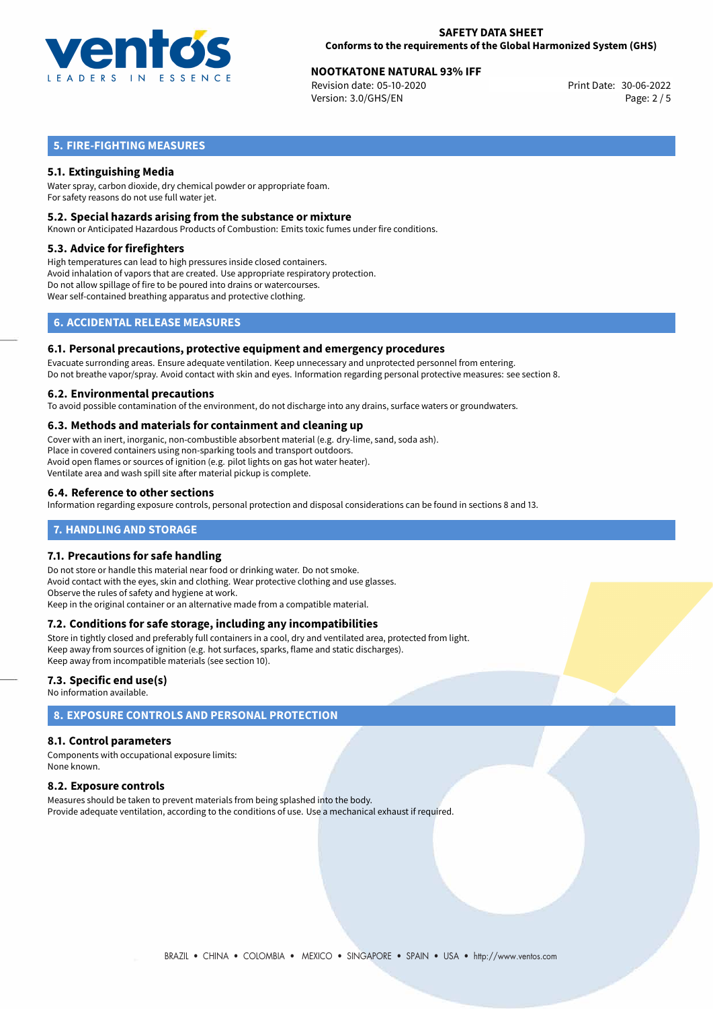

# **NOOTKATONE NATURAL 93% IFF**<br>
Revision date: 05-10-2020<br>
Print Date: 30-06-2022

Revision date: 05-10-2020 Version: 3.0/GHS/EN Page: 2 / 5

# **5. FIRE-FIGHTING MEASURES**

## **5.1. Extinguishing Media**

Water spray, carbon dioxide, dry chemical powder or appropriate foam. For safety reasons do not use full water jet.

### **5.2. Special hazards arising from the substance or mixture**

Known or Anticipated Hazardous Products of Combustion: Emits toxic fumes under fire conditions.

### **5.3. Advice for firefighters**

High temperatures can lead to high pressures inside closed containers. Avoid inhalation of vapors that are created. Use appropriate respiratory protection. Do not allow spillage of fire to be poured into drains or watercourses. Wear self-contained breathing apparatus and protective clothing.

# **6. ACCIDENTAL RELEASE MEASURES**

### **6.1. Personal precautions, protective equipment and emergency procedures**

Evacuate surronding areas. Ensure adequate ventilation. Keep unnecessary and unprotected personnel from entering. Do not breathe vapor/spray. Avoid contact with skin and eyes. Information regarding personal protective measures: see section 8.

### **6.2. Environmental precautions**

To avoid possible contamination of the environment, do not discharge into any drains, surface waters or groundwaters.

### **6.3. Methods and materials for containment and cleaning up**

Cover with an inert, inorganic, non-combustible absorbent material (e.g. dry-lime, sand, soda ash). Place in covered containers using non-sparking tools and transport outdoors. Avoid open flames or sources of ignition (e.g. pilot lights on gas hot water heater). Ventilate area and wash spill site after material pickup is complete.

### **6.4. Reference to other sections**

Information regarding exposure controls, personal protection and disposal considerations can be found in sections 8 and 13.

### **7. HANDLING AND STORAGE**

### **7.1. Precautions for safe handling**

Do not store or handle this material near food or drinking water. Do not smoke. Avoid contact with the eyes, skin and clothing. Wear protective clothing and use glasses. Observe the rules of safety and hygiene at work. Keep in the original container or an alternative made from a compatible material.

## **7.2. Conditions for safe storage, including any incompatibilities**

Store in tightly closed and preferably full containers in a cool, dry and ventilated area, protected from light. Keep away from sources of ignition (e.g. hot surfaces, sparks, flame and static discharges). Keep away from incompatible materials (see section 10).

### **7.3. Specific end use(s)**

No information available.

# **8. EXPOSURE CONTROLS AND PERSONAL PROTECTION**

### **8.1. Control parameters**

Components with occupational exposure limits: None known.

### **8.2. Exposure controls**

Measures should be taken to prevent materials from being splashed into the body. Provide adequate ventilation, according to the conditions of use. Use a mechanical exhaust if required.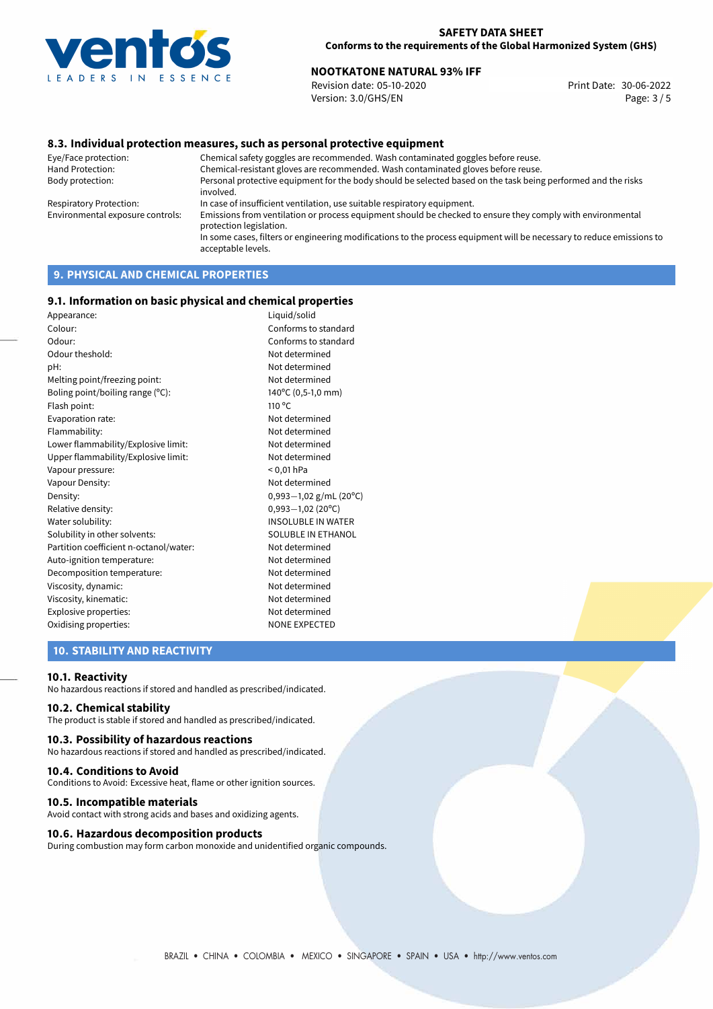

# **NOOTKATONE NATURAL 93% IFF**<br>Revision date: 05-10-2020 **Note: 2008 Revision date: 30-06-2022**

Revision date: 05-10-2020 Version: 3.0/GHS/EN Page: 3 / 5

### **8.3. Individual protection measures, such as personal protective equipment**

Eye/Face protection: Chemical safety goggles are recommended. Wash contaminated goggles before reuse. Chemical-resistant gloves are recommended. Wash contaminated gloves before reuse. Body protection: Personal protective equipment for the body should be selected based on the task being performed and the risks involved. Respiratory Protection: In case of insufficient ventilation, use suitable respiratory equipment. Environmental exposure controls: Emissions from ventilation or process equipment should be checked to ensure they comply with environmental protection legislation. In some cases, filters or engineering modifications to the process equipment will be necessary to reduce emissions to acceptable levels.

# **9. PHYSICAL AND CHEMICAL PROPERTIES**

### **9.1. Information on basic physical and chemical properties**

| Appearance:                            | Liquid/solid              |
|----------------------------------------|---------------------------|
| Colour:                                | Conforms to standard      |
| Odour:                                 | Conforms to standard      |
| Odour theshold:                        | Not determined            |
| pH:                                    | Not determined            |
| Melting point/freezing point:          | Not determined            |
| Boling point/boiling range (°C):       | 140°C (0,5-1,0 mm)        |
| Flash point:                           | 110 <sup>o</sup> C        |
| Evaporation rate:                      | Not determined            |
| Flammability:                          | Not determined            |
| Lower flammability/Explosive limit:    | Not determined            |
| Upper flammability/Explosive limit:    | Not determined            |
| Vapour pressure:                       | $< 0.01$ hPa              |
| Vapour Density:                        | Not determined            |
| Density:                               | $0,993-1,02$ g/mL (20°C)  |
| Relative density:                      | $0,993 - 1,02$ (20°C)     |
| Water solubility:                      | <b>INSOLUBLE IN WATER</b> |
| Solubility in other solvents:          | SOLUBLE IN ETHANOL        |
| Partition coefficient n-octanol/water: | Not determined            |
| Auto-ignition temperature:             | Not determined            |
| Decomposition temperature:             | Not determined            |
| Viscosity, dynamic:                    | Not determined            |
| Viscosity, kinematic:                  | Not determined            |
| Explosive properties:                  | Not determined            |
| Oxidising properties:                  | <b>NONE EXPECTED</b>      |
|                                        |                           |

### **10. STABILITY AND REACTIVITY**

#### **10.1. Reactivity**

No hazardous reactions if stored and handled as prescribed/indicated.

### **10.2. Chemical stability**

The product is stable if stored and handled as prescribed/indicated.

#### **10.3. Possibility of hazardous reactions**

No hazardous reactions if stored and handled as prescribed/indicated.

#### **10.4. Conditions to Avoid**

Conditions to Avoid: Excessive heat, flame or other ignition sources.

### **10.5. Incompatible materials**

Avoid contact with strong acids and bases and oxidizing agents.

### **10.6. Hazardous decomposition products**

During combustion may form carbon monoxide and unidentified organic compounds.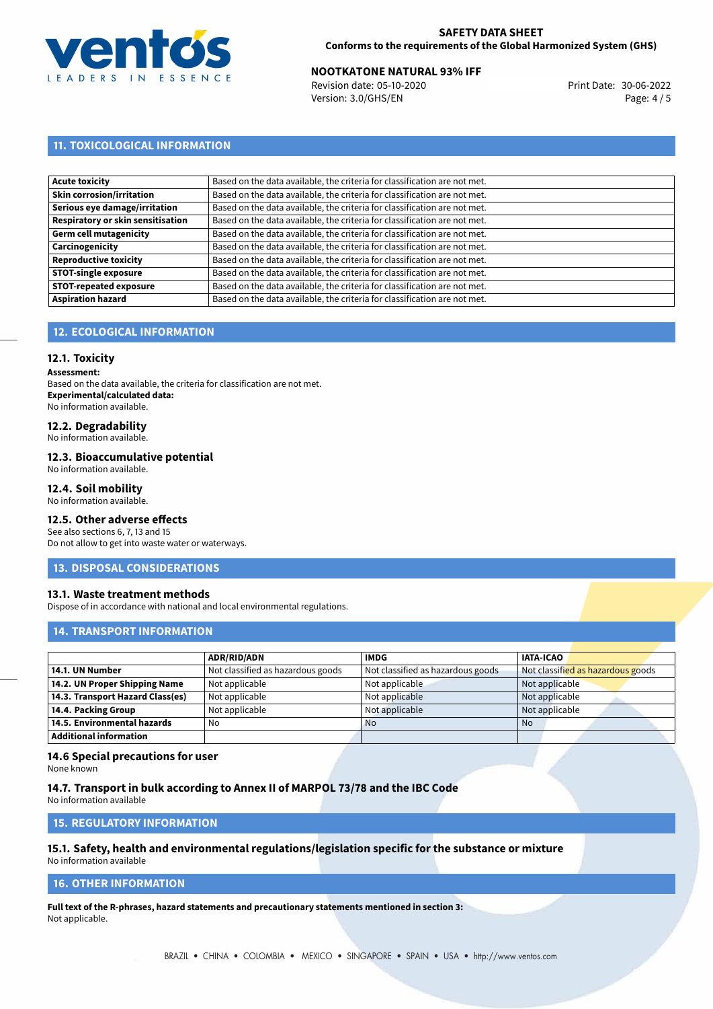

# **NOOTKATONE NATURAL 93% IFF**<br>30-06-2022 **Revision date: 05-10-2020 IFF**

Revision date: 05-10-2020 Version: 3.0/GHS/EN Page: 4 / 5

# **11. TOXICOLOGICAL INFORMATION**

| <b>Acute toxicity</b>             | Based on the data available, the criteria for classification are not met. |
|-----------------------------------|---------------------------------------------------------------------------|
| <b>Skin corrosion/irritation</b>  | Based on the data available, the criteria for classification are not met. |
| Serious eye damage/irritation     | Based on the data available, the criteria for classification are not met. |
| Respiratory or skin sensitisation | Based on the data available, the criteria for classification are not met. |
| Germ cell mutagenicity            | Based on the data available, the criteria for classification are not met. |
| Carcinogenicity                   | Based on the data available, the criteria for classification are not met. |
| <b>Reproductive toxicity</b>      | Based on the data available, the criteria for classification are not met. |
| <b>STOT-single exposure</b>       | Based on the data available, the criteria for classification are not met. |
| <b>STOT-repeated exposure</b>     | Based on the data available, the criteria for classification are not met. |
| <b>Aspiration hazard</b>          | Based on the data available, the criteria for classification are not met. |

# **12. ECOLOGICAL INFORMATION**

### **12.1. Toxicity**

**Assessment:**

Based on the data available, the criteria for classification are not met. **Experimental/calculated data:** No information available.

# **12.2. Degradability**

No information available.

### **12.3. Bioaccumulative potential**

No information available.

### **12.4. Soil mobility**

No information available.

# **12.5. Other adverse effects**

See also sections 6, 7, 13 and 15 Do not allow to get into waste water or waterways.

### **13. DISPOSAL CONSIDERATIONS**

### **13.1. Waste treatment methods**

Dispose of in accordance with national and local environmental regulations.

### **14. TRANSPORT INFORMATION**

|                                  | <b>ADR/RID/ADN</b>                | <b>IMDG</b>                       | <b>IATA-ICAO</b>                  |
|----------------------------------|-----------------------------------|-----------------------------------|-----------------------------------|
| 14.1. UN Number                  | Not classified as hazardous goods | Not classified as hazardous goods | Not classified as hazardous goods |
| 14.2. UN Proper Shipping Name    | Not applicable                    | Not applicable                    | Not applicable                    |
| 14.3. Transport Hazard Class(es) | Not applicable                    | Not applicable                    | Not applicable                    |
| 14.4. Packing Group              | Not applicable                    | Not applicable                    | Not applicable                    |
| 14.5. Environmental hazards      | No                                | <b>No</b>                         | No                                |
| <b>Additional information</b>    |                                   |                                   |                                   |

### **14.6 Special precautions for user**

None known

### **14.7. Transport in bulk according to Annex II of MARPOL 73/78 and the IBC Code**

No information available

# **15. REGULATORY INFORMATION**

# **15.1. Safety, health and environmental regulations/legislation specific for the substance or mixture**

No information available

# **16. OTHER INFORMATION**

**Full text of the R-phrases, hazard statements and precautionary statements mentioned in section 3:** Not applicable.